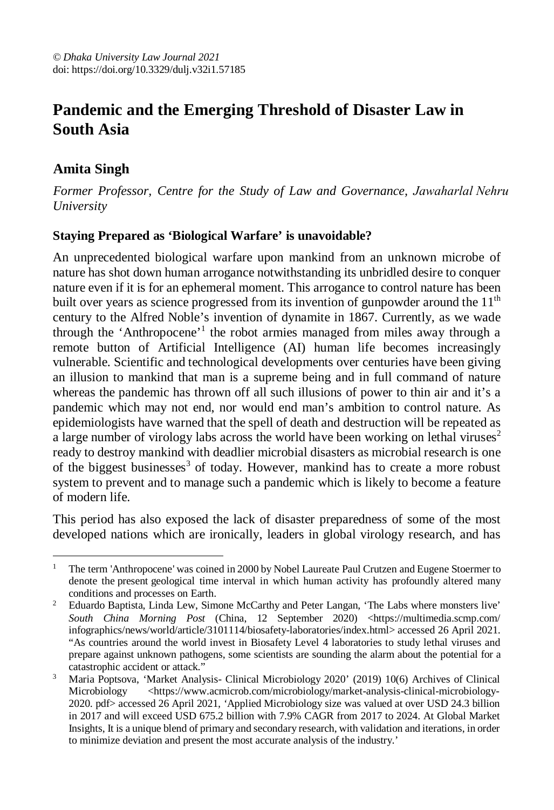# **Pandemic and the Emerging Threshold of Disaster Law in South Asia**

# **Amita Singh**

*University Former Professor, Centre for the Study of Law and Governance, Jawaharlal Nehru*

## **Staying Prepared as 'Biological Warfare' is unavoidable?**

An unprecedented biological warfare upon mankind from an unknown microbe of nature has shot down human arrogance notwithstanding its unbridled desire to conquer nature even if it is for an ephemeral moment. This arrogance to control nature has been built over years as science progressed from its invention of gunpowder around the  $11<sup>th</sup>$ century to the Alfred Noble's invention of dynamite in 1867. Currently, as we wade through the 'Anthropocene'<sup>1</sup> the robot armies managed from miles away through a remote button of Artificial Intelligence (AI) human life becomes increasingly vulnerable. Scientific and technological developments over centuries have been giving an illusion to mankind that man is a supreme being and in full command of nature whereas the pandemic has thrown off all such illusions of power to thin air and it's a pandemic which may not end, nor would end man's ambition to control nature. As epidemiologists have warned that the spell of death and destruction will be repeated as a large number of virology labs across the world have been working on lethal viruses<sup>2</sup> ready to destroy mankind with deadlier microbial disasters as microbial research is one of the biggest businesses<sup>3</sup> of today. However, mankind has to create a more robust system to prevent and to manage such a pandemic which is likely to become a feature of modern life.

This period has also exposed the lack of disaster preparedness of some of the most developed nations which are ironically, leaders in global virology research, and has

 $\overline{a}$ <sup>1</sup> The term 'Anthropocene' was coined in 2000 by Nobel Laureate Paul Crutzen and Eugene Stoermer to denote the present geological time interval in which human activity has profoundly altered many conditions and processes on Earth.

<sup>&</sup>lt;sup>2</sup> Eduardo Baptista, Linda Lew, Simone McCarthy and Peter Langan, 'The Labs where monsters live' *South China Morning Post* (China, 12 September 2020) <https://multimedia.scmp.com/ infographics/news/world/article/3101114/biosafety-laboratories/index.html> accessed 26 April 2021. "As countries around the world invest in Biosafety Level 4 laboratories to study lethal viruses and prepare against unknown pathogens, some scientists are sounding the alarm about the potential for a catastrophic accident or attack."

<sup>3</sup> Maria Poptsova, 'Market Analysis- Clinical Microbiology 2020' (2019) 10(6) Archives of Clinical Microbiology <https://www.acmicrob.com/microbiology/market-analysis-clinical-microbiology-2020. pdf> accessed 26 April 2021*, '*Applied Microbiology size was valued at over USD 24.3 billion in 2017 and will exceed USD 675.2 billion with 7.9% CAGR from 2017 to 2024. At Global Market Insights, It is a unique blend of primary and secondary research, with validation and iterations, in order to minimize deviation and present the most accurate analysis of the industry.'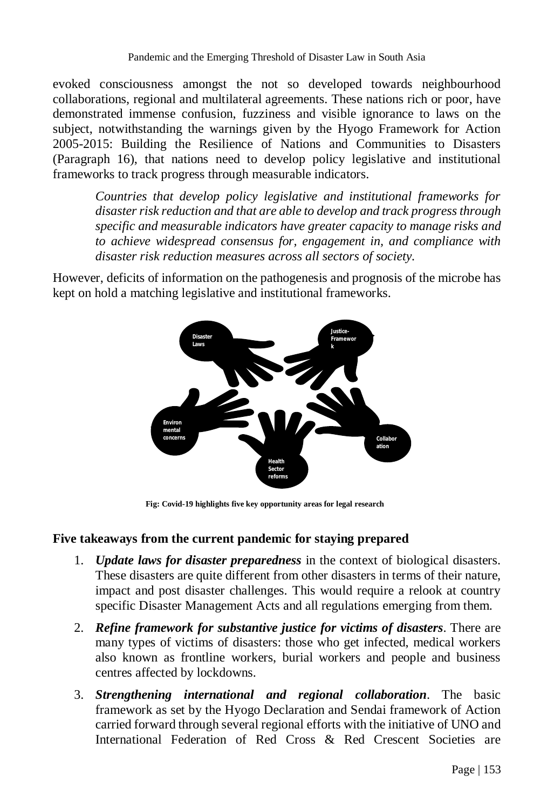evoked consciousness amongst the not so developed towards neighbourhood collaborations, regional and multilateral agreements. These nations rich or poor, have demonstrated immense confusion, fuzziness and visible ignorance to laws on the subject, notwithstanding the warnings given by the Hyogo Framework for Action 2005-2015: Building the Resilience of Nations and Communities to Disasters (Paragraph 16), that nations need to develop policy legislative and institutional frameworks to track progress through measurable indicators.

*Countries that develop policy legislative and institutional frameworks for disaster risk reduction and that are able to develop and track progress through specific and measurable indicators have greater capacity to manage risks and to achieve widespread consensus for, engagement in, and compliance with disaster risk reduction measures across all sectors of society.*

However, deficits of information on the pathogenesis and prognosis of the microbe has kept on hold a matching legislative and institutional frameworks.



**Fig: Covid-19 highlights five key opportunity areas for legal research**

#### **Five takeaways from the current pandemic for staying prepared**

- 1. *Update laws for disaster preparedness* in the context of biological disasters. These disasters are quite different from other disasters in terms of their nature, impact and post disaster challenges. This would require a relook at country specific Disaster Management Acts and all regulations emerging from them.
- 2. *Refine framework for substantive justice for victims of disasters*. There are many types of victims of disasters: those who get infected, medical workers also known as frontline workers, burial workers and people and business centres affected by lockdowns.
- 3. *Strengthening international and regional collaboration*. The basic framework as set by the Hyogo Declaration and Sendai framework of Action carried forward through several regional efforts with the initiative of UNO and International Federation of Red Cross & Red Crescent Societies are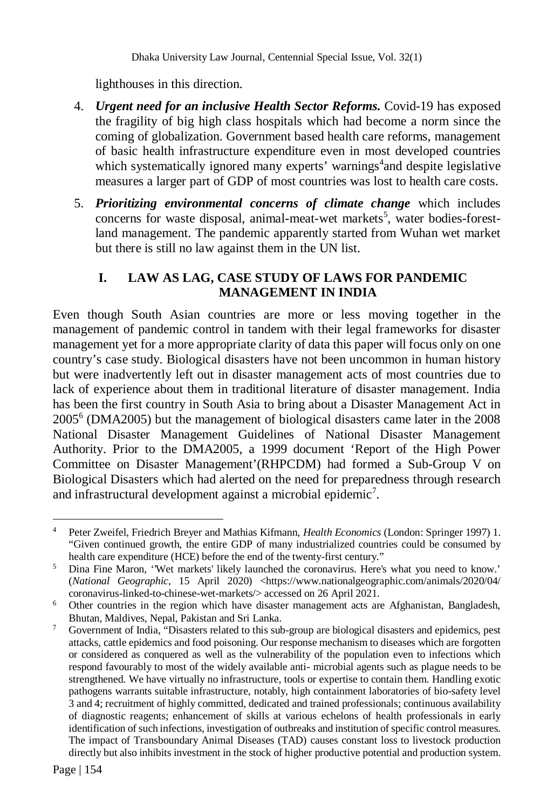Dhaka University Law Journal, Centennial Special Issue, Vol. 32(1)

lighthouses in this direction.

- 4. *Urgent need for an inclusive Health Sector Reforms.* Covid-19 has exposed the fragility of big high class hospitals which had become a norm since the coming of globalization. Government based health care reforms, management of basic health infrastructure expenditure even in most developed countries which systematically ignored many experts' warnings<sup>4</sup> and despite legislative measures a larger part of GDP of most countries was lost to health care costs.
- 5. *Prioritizing environmental concerns of climate change* which includes concerns for waste disposal, animal-meat-wet markets<sup>5</sup>, water bodies-forestland management. The pandemic apparently started from Wuhan wet market but there is still no law against them in the UN list.

#### **I. LAW AS LAG, CASE STUDY OF LAWS FOR PANDEMIC MANAGEMENT IN INDIA**

Even though South Asian countries are more or less moving together in the management of pandemic control in tandem with their legal frameworks for disaster management yet for a more appropriate clarity of data this paper will focus only on one country's case study. Biological disasters have not been uncommon in human history but were inadvertently left out in disaster management acts of most countries due to lack of experience about them in traditional literature of disaster management. India has been the first country in South Asia to bring about a Disaster Management Act in 2005<sup>6</sup> (DMA2005) but the management of biological disasters came later in the 2008 National Disaster Management Guidelines of National Disaster Management Authority. Prior to the DMA2005, a 1999 document 'Report of the High Power Committee on Disaster Management'(RHPCDM) had formed a Sub-Group V on Biological Disasters which had alerted on the need for preparedness through research and infrastructural development against a microbial epidemic<sup>7</sup>.

 $\overline{a}$ <sup>4</sup> Peter Zweifel, Friedrich Breyer and Mathias Kifmann, *Health Economics* (London: Springer 1997) 1. "Given continued growth, the entire GDP of many industrialized countries could be consumed by health care expenditure (HCE) before the end of the twenty-first century."

<sup>5</sup> Dina Fine Maron, ''Wet markets' likely launched the coronavirus. Here's what you need to know.' (*National Geographic*, 15 April 2020) <https://www.nationalgeographic.com/animals/2020/04/ coronavirus-linked-to-chinese-wet-markets/> accessed on 26 April 2021.

<sup>6</sup> Other countries in the region which have disaster management acts are Afghanistan, Bangladesh, Bhutan, Maldives, Nepal, Pakistan and Sri Lanka.

<sup>7</sup> Government of India, "Disasters related to this sub-group are biological disasters and epidemics, pest attacks, cattle epidemics and food poisoning. Our response mechanism to diseases which are forgotten or considered as conquered as well as the vulnerability of the population even to infections which respond favourably to most of the widely available anti- microbial agents such as plague needs to be strengthened. We have virtually no infrastructure, tools or expertise to contain them. Handling exotic pathogens warrants suitable infrastructure, notably, high containment laboratories of bio-safety level 3 and 4; recruitment of highly committed, dedicated and trained professionals; continuous availability of diagnostic reagents; enhancement of skills at various echelons of health professionals in early identification of such infections, investigation of outbreaks and institution of specific control measures. The impact of Transboundary Animal Diseases (TAD) causes constant loss to livestock production directly but also inhibits investment in the stock of higher productive potential and production system.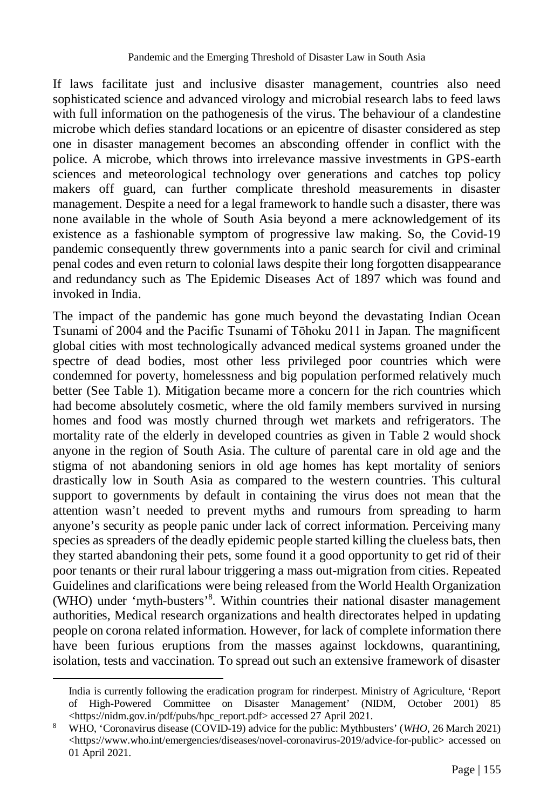If laws facilitate just and inclusive disaster management, countries also need sophisticated science and advanced virology and microbial research labs to feed laws with full information on the pathogenesis of the virus. The behaviour of a clandestine microbe which defies standard locations or an epicentre of disaster considered as step one in disaster management becomes an absconding offender in conflict with the police. A microbe, which throws into irrelevance massive investments in GPS-earth sciences and meteorological technology over generations and catches top policy makers off guard, can further complicate threshold measurements in disaster management. Despite a need for a legal framework to handle such a disaster, there was none available in the whole of South Asia beyond a mere acknowledgement of its existence as a fashionable symptom of progressive law making. So, the Covid-19 pandemic consequently threw governments into a panic search for civil and criminal penal codes and even return to colonial laws despite their long forgotten disappearance and redundancy such as The Epidemic Diseases Act of 1897 which was found and invoked in India.

The impact of the pandemic has gone much beyond the devastating Indian Ocean Tsunami of 2004 and the Pacific Tsunami of Tōhoku 2011 in Japan. The magnificent global cities with most technologically advanced medical systems groaned under the spectre of dead bodies, most other less privileged poor countries which were condemned for poverty, homelessness and big population performed relatively much better (See Table 1). Mitigation became more a concern for the rich countries which had become absolutely cosmetic, where the old family members survived in nursing homes and food was mostly churned through wet markets and refrigerators. The mortality rate of the elderly in developed countries as given in Table 2 would shock anyone in the region of South Asia. The culture of parental care in old age and the stigma of not abandoning seniors in old age homes has kept mortality of seniors drastically low in South Asia as compared to the western countries. This cultural support to governments by default in containing the virus does not mean that the attention wasn't needed to prevent myths and rumours from spreading to harm anyone's security as people panic under lack of correct information. Perceiving many species as spreaders of the deadly epidemic people started killing the clueless bats, then they started abandoning their pets, some found it a good opportunity to get rid of their poor tenants or their rural labour triggering a mass out-migration from cities. Repeated Guidelines and clarifications were being released from the World Health Organization (WHO) under 'myth-busters'<sup>8</sup> . Within countries their national disaster management authorities, Medical research organizations and health directorates helped in updating people on corona related information. However, for lack of complete information there have been furious eruptions from the masses against lockdowns, quarantining, isolation, tests and vaccination. To spread out such an extensive framework of disaster

 $\overline{a}$ 

India is currently following the eradication program for rinderpest. Ministry of Agriculture, 'Report of High-Powered Committee on Disaster Management' (NIDM, October 2001) 85 <https://nidm.gov.in/pdf/pubs/hpc\_report.pdf> accessed 27 April 2021.

<sup>8</sup> WHO, 'Coronavirus disease (COVID-19) advice for the public: Mythbusters' (*WHO*, 26 March 2021) <https://www.who.int/emergencies/diseases/novel-coronavirus-2019/advice-for-public> accessed on 01 April 2021.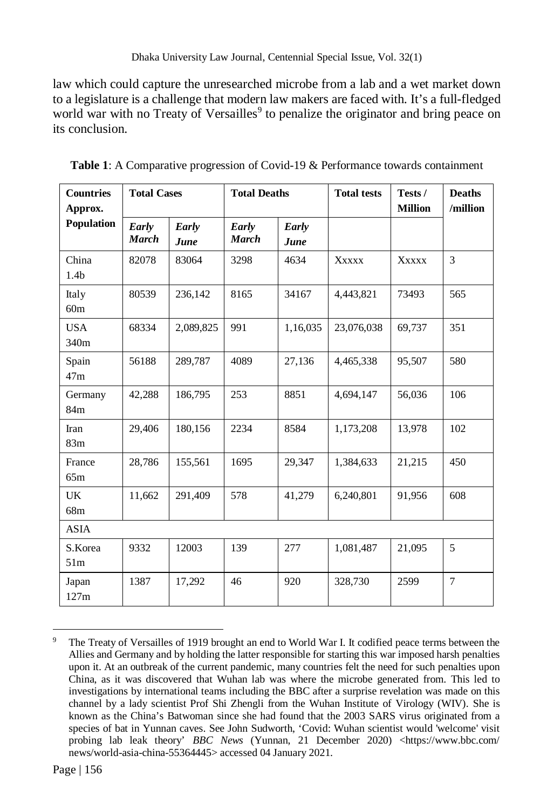law which could capture the unresearched microbe from a lab and a wet market down to a legislature is a challenge that modern law makers are faced with. It's a full-fledged world war with no Treaty of Versailles<sup>9</sup> to penalize the originator and bring peace on its conclusion.

| <b>Countries</b><br>Approx. | <b>Total Cases</b>    |               | <b>Total Deaths</b>   |               | <b>Total tests</b> | Tests /<br><b>Million</b> | <b>Deaths</b><br>/million |
|-----------------------------|-----------------------|---------------|-----------------------|---------------|--------------------|---------------------------|---------------------------|
| Population                  | Early<br><b>March</b> | Early<br>June | Early<br><b>March</b> | Early<br>June |                    |                           |                           |
| China<br>1.4 <sub>b</sub>   | 82078                 | 83064         | 3298                  | 4634          | <b>XXXXX</b>       | <b>Xxxxx</b>              | 3                         |
| Italy<br>60 <sub>m</sub>    | 80539                 | 236,142       | 8165                  | 34167         | 4,443,821          | 73493                     | 565                       |
| <b>USA</b><br>340m          | 68334                 | 2,089,825     | 991                   | 1,16,035      | 23,076,038         | 69,737                    | 351                       |
| Spain<br>47m                | 56188                 | 289,787       | 4089                  | 27,136        | 4,465,338          | 95,507                    | 580                       |
| Germany<br>84m              | 42,288                | 186,795       | 253                   | 8851          | 4,694,147          | 56,036                    | 106                       |
| Iran<br>83m                 | 29,406                | 180,156       | 2234                  | 8584          | 1,173,208          | 13,978                    | 102                       |
| France<br>65m               | 28,786                | 155,561       | 1695                  | 29,347        | 1,384,633          | 21,215                    | 450                       |
| UK<br>68m                   | 11,662                | 291,409       | 578                   | 41,279        | 6,240,801          | 91,956                    | 608                       |
| <b>ASIA</b>                 |                       |               |                       |               |                    |                           |                           |
| S.Korea<br>51 <sub>m</sub>  | 9332                  | 12003         | 139                   | 277           | 1,081,487          | 21,095                    | 5                         |
| Japan<br>127m               | 1387                  | 17,292        | 46                    | 920           | 328,730            | 2599                      | 7                         |

**Table 1**: A Comparative progression of Covid-19 & Performance towards containment

 $\overline{a}$ <sup>9</sup> The Treaty of Versailles of 1919 brought an end to World War I. It codified peace terms between the Allies and Germany and by holding the latter responsible for starting this war imposed harsh penalties upon it. At an outbreak of the current pandemic, many countries felt the need for such penalties upon China, as it was discovered that Wuhan lab was where the microbe generated from. This led to investigations by international teams including the BBC after a surprise revelation was made on this channel by a lady scientist Prof Shi Zhengli from the Wuhan Institute of Virology (WIV). She is known as the China's Batwoman since she had found that the 2003 SARS virus originated from a species of bat in Yunnan caves. See John Sudworth, 'Covid: Wuhan scientist would 'welcome' visit probing lab leak theory' *BBC News* (Yunnan, 21 December 2020) <https://www.bbc.com/ news/world-asia-china-55364445> accessed 04 January 2021.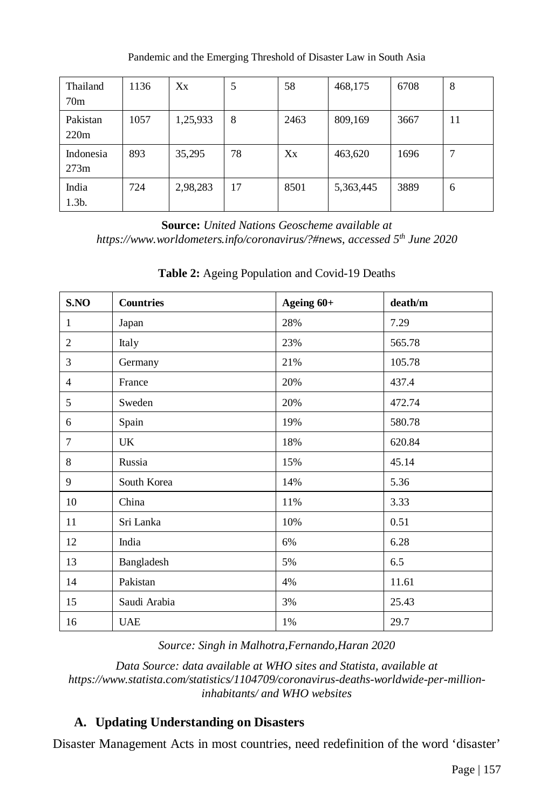| Thailand<br>70 <sub>m</sub> | 1136 | Xx       | 5  | 58   | 468,175   | 6708 | 8  |
|-----------------------------|------|----------|----|------|-----------|------|----|
| Pakistan<br>220m            | 1057 | 1,25,933 | 8  | 2463 | 809,169   | 3667 | 11 |
| Indonesia<br>273m           | 893  | 35,295   | 78 | Xx   | 463,620   | 1696 | ⇁  |
| India<br>$1.3b$ .           | 724  | 2,98,283 | 17 | 8501 | 5,363,445 | 3889 | 6  |

Pandemic and the Emerging Threshold of Disaster Law in South Asia

**Source:** *United Nations Geoscheme available at https://www.worldometers.info/coronavirus/?#news, accessed 5th June 2020*

| S.NO           | <b>Countries</b> | Ageing 60+ | death/m |
|----------------|------------------|------------|---------|
| 1              | Japan            | 28%        | 7.29    |
| $\overline{c}$ | Italy            | 23%        | 565.78  |
| 3              | Germany          | 21%        | 105.78  |
| $\overline{4}$ | France           | 20%        | 437.4   |
| 5              | Sweden           | 20%        | 472.74  |
| 6              | Spain            | 19%        | 580.78  |
| 7              | UK               | 18%        | 620.84  |
| 8              | Russia           | 15%        | 45.14   |
| 9              | South Korea      | 14%        | 5.36    |
| 10             | China            | 11%        | 3.33    |
| 11             | Sri Lanka        | 10%        | 0.51    |
| 12             | India            | 6%         | 6.28    |
| 13             | Bangladesh       | 5%         | 6.5     |
| 14             | Pakistan         | 4%         | 11.61   |
| 15             | Saudi Arabia     | 3%         | 25.43   |
| 16             | <b>UAE</b>       | 1%         | 29.7    |

**Table 2:** Ageing Population and Covid-19 Deaths

*Source: Singh in Malhotra,Fernando,Haran 2020*

*Data Source: data available at WHO sites and Statista, available at https://www.statista.com/statistics/1104709/coronavirus-deaths-worldwide-per-millioninhabitants/ and WHO websites*

#### **A. Updating Understanding on Disasters**

Disaster Management Acts in most countries, need redefinition of the word 'disaster'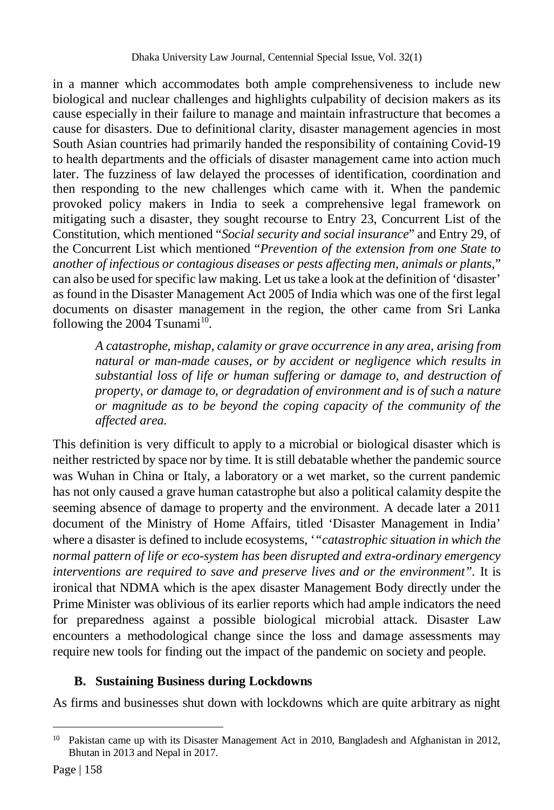in a manner which accommodates both ample comprehensiveness to include new biological and nuclear challenges and highlights culpability of decision makers as its cause especially in their failure to manage and maintain infrastructure that becomes a cause for disasters. Due to definitional clarity, disaster management agencies in most South Asian countries had primarily handed the responsibility of containing Covid-19 to health departments and the officials of disaster management came into action much later. The fuzziness of law delayed the processes of identification, coordination and then responding to the new challenges which came with it. When the pandemic provoked policy makers in India to seek a comprehensive legal framework on mitigating such a disaster, they sought recourse to Entry 23, Concurrent List of the Constitution, which mentioned "*Social security and social insurance*" and Entry 29, of the Concurrent List which mentioned "*Prevention of the extension from one State to another of infectious or contagious diseases or pests affecting men, animals or plants*," can also be used for specific law making. Let us take a look at the definition of 'disaster' as found in the Disaster Management Act 2005 of India which was one of the first legal documents on disaster management in the region, the other came from Sri Lanka following the 2004  $T$ sunami<sup>10</sup>.

*A catastrophe, mishap, calamity or grave occurrence in any area, arising from natural or man-made causes, or by accident or negligence which results in substantial loss of life or human suffering or damage to, and destruction of property, or damage to, or degradation of environment and is of such a nature or magnitude as to be beyond the coping capacity of the community of the affected area.* 

This definition is very difficult to apply to a microbial or biological disaster which is neither restricted by space nor by time. It is still debatable whether the pandemic source was Wuhan in China or Italy, a laboratory or a wet market, so the current pandemic has not only caused a grave human catastrophe but also a political calamity despite the seeming absence of damage to property and the environment. A decade later a 2011 document of the Ministry of Home Affairs, titled 'Disaster Management in India' where a disaster is defined to include ecosystems, '*"catastrophic situation in which the normal pattern of life or eco-system has been disrupted and extra-ordinary emergency interventions are required to save and preserve lives and or the environment".* It is ironical that NDMA which is the apex disaster Management Body directly under the Prime Minister was oblivious of its earlier reports which had ample indicators the need for preparedness against a possible biological microbial attack. Disaster Law encounters a methodological change since the loss and damage assessments may require new tools for finding out the impact of the pandemic on society and people.

#### **B. Sustaining Business during Lockdowns**

As firms and businesses shut down with lockdowns which are quite arbitrary as night

 $\overline{a}$ <sup>10</sup> Pakistan came up with its Disaster Management Act in 2010, Bangladesh and Afghanistan in 2012, Bhutan in 2013 and Nepal in 2017.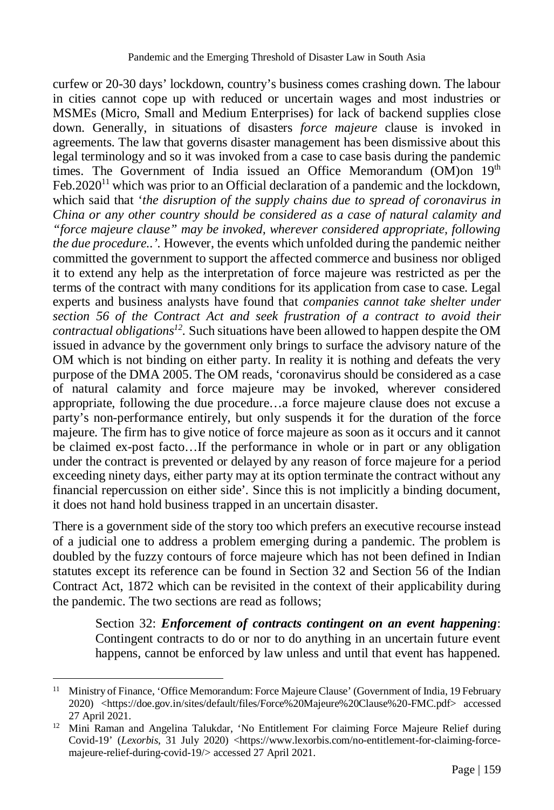curfew or 20-30 days' lockdown, country's business comes crashing down. The labour in cities cannot cope up with reduced or uncertain wages and most industries or MSMEs (Micro, Small and Medium Enterprises) for lack of backend supplies close down. Generally, in situations of disasters *force majeure* clause is invoked in agreements*.* The law that governs disaster management has been dismissive about this legal terminology and so it was invoked from a case to case basis during the pandemic times. The Government of India issued an Office Memorandum (OM) on  $19<sup>th</sup>$ Feb.  $2020<sup>11</sup>$  which was prior to an Official declaration of a pandemic and the lockdown, which said that '*the disruption of the supply chains due to spread of coronavirus in China or any other country should be considered as a case of natural calamity and "force majeure clause" may be invoked, wherever considered appropriate, following the due procedure..'.* However, the events which unfolded during the pandemic neither committed the government to support the affected commerce and business nor obliged it to extend any help as the interpretation of force majeure was restricted as per the terms of the contract with many conditions for its application from case to case. Legal experts and business analysts have found that *companies cannot take shelter under section 56 of the Contract Act and seek frustration of a contract to avoid their contractual obligations<sup>12</sup> .* Such situations have been allowed to happen despite the OM issued in advance by the government only brings to surface the advisory nature of the OM which is not binding on either party. In reality it is nothing and defeats the very purpose of the DMA 2005. The OM reads, 'coronavirus should be considered as a case of natural calamity and force majeure may be invoked, wherever considered appropriate, following the due procedure…a force majeure clause does not excuse a party's non-performance entirely, but only suspends it for the duration of the force majeure. The firm has to give notice of force majeure as soon as it occurs and it cannot be claimed ex-post facto…If the performance in whole or in part or any obligation under the contract is prevented or delayed by any reason of force majeure for a period exceeding ninety days, either party may at its option terminate the contract without any financial repercussion on either side'*.* Since this is not implicitly a binding document, it does not hand hold business trapped in an uncertain disaster.

There is a government side of the story too which prefers an executive recourse instead of a judicial one to address a problem emerging during a pandemic. The problem is doubled by the fuzzy contours of force majeure which has not been defined in Indian statutes except its reference can be found in Section 32 and Section 56 of the Indian Contract Act, 1872 which can be revisited in the context of their applicability during the pandemic. The two sections are read as follows;

Section 32: *Enforcement of contracts contingent on an event happening*: Contingent contracts to do or nor to do anything in an uncertain future event happens, cannot be enforced by law unless and until that event has happened.

 $\overline{a}$ <sup>11</sup> Ministry of Finance, 'Office Memorandum: Force Majeure Clause' (Government of India, 19 February 2020) <https://doe.gov.in/sites/default/files/Force%20Majeure%20Clause%20-FMC.pdf> accessed 27 April 2021.

<sup>&</sup>lt;sup>12</sup> Mini Raman and Angelina Talukdar, 'No Entitlement For claiming Force Majeure Relief during Covid-19' (*Lexorbis*, 31 July 2020) <https://www.lexorbis.com/no-entitlement-for-claiming-forcemajeure-relief-during-covid-19/> accessed 27 April 2021.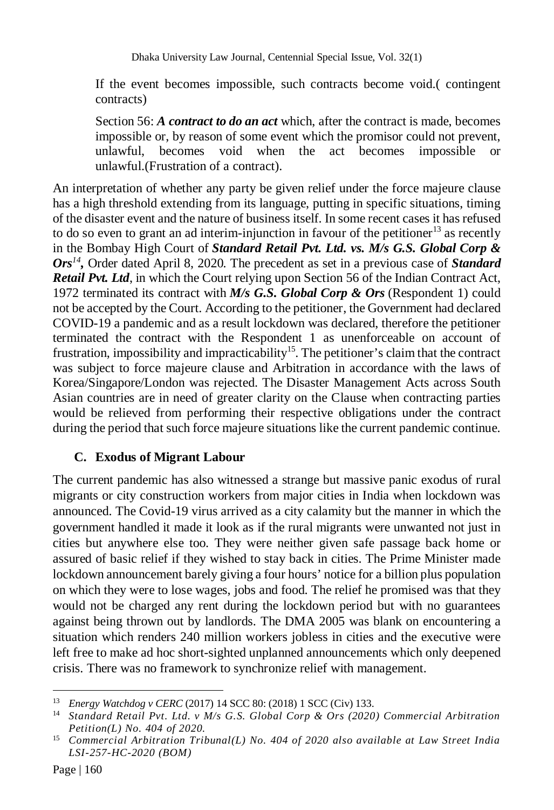Dhaka University Law Journal, Centennial Special Issue, Vol. 32(1)

If the event becomes impossible, such contracts become void.( contingent contracts)

Section 56: *A contract to do an act* which, after the contract is made, becomes impossible or, by reason of some event which the promisor could not prevent, unlawful, becomes void when the act becomes impossible or unlawful.(Frustration of a contract).

An interpretation of whether any party be given relief under the force majeure clause has a high threshold extending from its language, putting in specific situations, timing of the disaster event and the nature of business itself. In some recent cases it has refused to do so even to grant an ad interim-injunction in favour of the petitioner<sup>13</sup> as recently in the Bombay High Court of *Standard Retail Pvt. Ltd. vs. M/s G.S. Global Corp & Ors<sup>14</sup> ,* Order dated April 8, 2020*.* The precedent as set in a previous case of *Standard Retail Pvt. Ltd*, in which the Court relying upon Section 56 of the Indian Contract Act, 1972 terminated its contract with *M/s G.S. Global Corp & Ors* (Respondent 1) could not be accepted by the Court. According to the petitioner, the Government had declared COVID-19 a pandemic and as a result lockdown was declared, therefore the petitioner terminated the contract with the Respondent 1 as unenforceable on account of frustration, impossibility and impracticability<sup>15</sup>. The petitioner's claim that the contract was subject to force majeure clause and Arbitration in accordance with the laws of Korea/Singapore/London was rejected. The Disaster Management Acts across South Asian countries are in need of greater clarity on the Clause when contracting parties would be relieved from performing their respective obligations under the contract during the period that such force majeure situations like the current pandemic continue.

#### **C. Exodus of Migrant Labour**

The current pandemic has also witnessed a strange but massive panic exodus of rural migrants or city construction workers from major cities in India when lockdown was announced. The Covid-19 virus arrived as a city calamity but the manner in which the government handled it made it look as if the rural migrants were unwanted not just in cities but anywhere else too. They were neither given safe passage back home or assured of basic relief if they wished to stay back in cities. The Prime Minister made lockdown announcement barely giving a four hours' notice for a billion plus population on which they were to lose wages, jobs and food. The relief he promised was that they would not be charged any rent during the lockdown period but with no guarantees against being thrown out by landlords. The DMA 2005 was blank on encountering a situation which renders 240 million workers jobless in cities and the executive were left free to make ad hoc short-sighted unplanned announcements which only deepened crisis. There was no framework to synchronize relief with management.

 $\overline{a}$ <sup>13</sup> *Energy Watchdog v CERC* (2017) 14 SCC 80: (2018) 1 SCC (Civ) 133.

<sup>14</sup> *Standard Retail Pvt. Ltd. v M/s G.S. Global Corp & Ors (2020) Commercial Arbitration Petition(L) No. 404 of 2020.*

<sup>15</sup> *Commercial Arbitration Tribunal(L) No. 404 of 2020 also available at Law Street India LSI-257-HC-2020 (BOM)*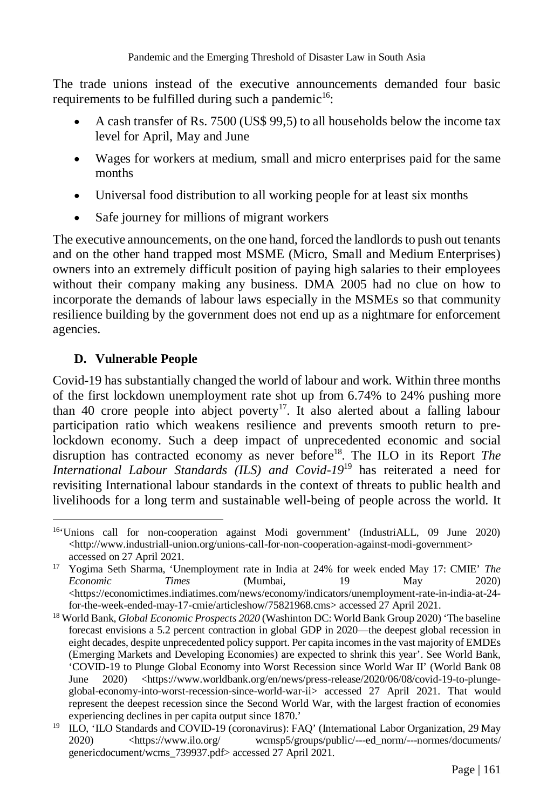The trade unions instead of the executive announcements demanded four basic requirements to be fulfilled during such a pandemic<sup>16</sup>:

- A cash transfer of Rs. 7500 (US\$ 99,5) to all households below the income tax level for April, May and June
- Wages for workers at medium, small and micro enterprises paid for the same months
- Universal food distribution to all working people for at least six months
- Safe journey for millions of migrant workers

The executive announcements, on the one hand, forced the landlords to push out tenants and on the other hand trapped most MSME (Micro, Small and Medium Enterprises) owners into an extremely difficult position of paying high salaries to their employees without their company making any business. DMA 2005 had no clue on how to incorporate the demands of labour laws especially in the MSMEs so that community resilience building by the government does not end up as a nightmare for enforcement agencies.

#### **D. Vulnerable People**

Covid-19 has substantially changed the world of labour and work. Within three months of the first lockdown unemployment rate shot up from 6.74% to 24% pushing more than 40 crore people into abject poverty<sup>17</sup>. It also alerted about a falling labour participation ratio which weakens resilience and prevents smooth return to prelockdown economy. Such a deep impact of unprecedented economic and social disruption has contracted economy as never before<sup>18</sup>. The ILO in its Report *The International Labour Standards (ILS) and Covid-19*<sup>19</sup> has reiterated a need for revisiting International labour standards in the context of threats to public health and livelihoods for a long term and sustainable well-being of people across the world. It

 $\overline{a}$ <sup>16</sup>'Unions call for non-cooperation against Modi government' (IndustriALL, 09 June 2020) <http://www.industriall-union.org/unions-call-for-non-cooperation-against-modi-government> accessed on 27 April 2021.

<sup>17</sup> Yogima Seth Sharma, 'Unemployment rate in India at 24% for week ended May 17: CMIE' *The Economic Times* (Mumbai, 19 May 2020) <https://economictimes.indiatimes.com/news/economy/indicators/unemployment-rate-in-india-at-24 for-the-week-ended-may-17-cmie/articleshow/75821968.cms> accessed 27 April 2021.

<sup>18</sup> World Bank, *Global Economic Prospects 2020* (Washinton DC: World Bank Group 2020) 'The baseline forecast envisions a 5.2 percent contraction in global GDP in 2020—the deepest global recession in eight decades, despite unprecedented policy support. Per capita incomes in the vast majority of EMDEs (Emerging Markets and Developing Economies) are expected to shrink this year'. See World Bank, 'COVID-19 to Plunge Global Economy into Worst Recession since World War II' (World Bank 08 June 2020) <https://www.worldbank.org/en/news/press-release/2020/06/08/covid-19-to-plungeglobal-economy-into-worst-recession-since-world-war-ii> accessed 27 April 2021. That would represent the deepest recession since the Second World War, with the largest fraction of economies experiencing declines in per capita output since 1870.'

<sup>&</sup>lt;sup>19</sup> ILO, 'ILO Standards and COVID-19 (coronavirus): FAQ' (International Labor Organization, 29 May 2020) <https://www.ilo.org/ wcmsp5/groups/public/---ed\_norm/---normes/documents/ genericdocument/wcms\_739937.pdf> accessed 27 April 2021.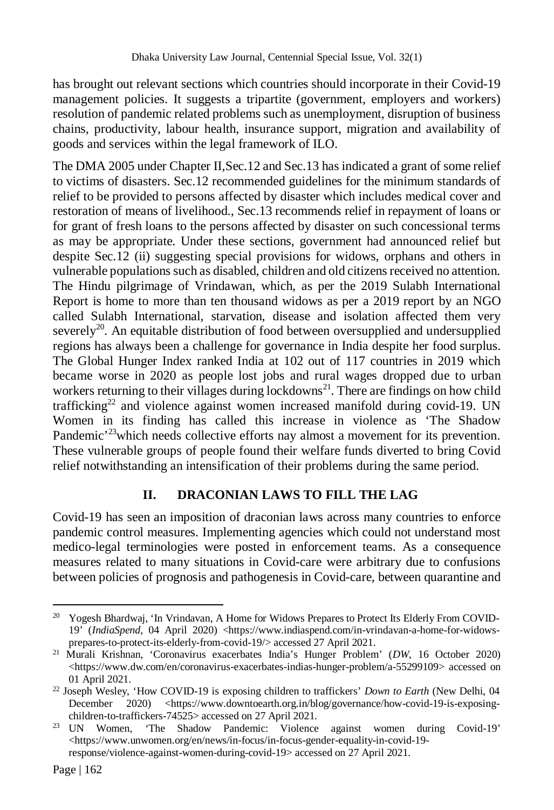has brought out relevant sections which countries should incorporate in their Covid-19 management policies. It suggests a tripartite (government, employers and workers) resolution of pandemic related problems such as unemployment, disruption of business chains, productivity, labour health, insurance support, migration and availability of goods and services within the legal framework of ILO.

The DMA 2005 under Chapter II,Sec.12 and Sec.13 has indicated a grant of some relief to victims of disasters. Sec.12 recommended guidelines for the minimum standards of relief to be provided to persons affected by disaster which includes medical cover and restoration of means of livelihood., Sec.13 recommends relief in repayment of loans or for grant of fresh loans to the persons affected by disaster on such concessional terms as may be appropriate. Under these sections, government had announced relief but despite Sec.12 (ii) suggesting special provisions for widows, orphans and others in vulnerable populations such as disabled, children and old citizens received no attention. The Hindu pilgrimage of Vrindawan, which, as per the 2019 Sulabh International Report is home to more than ten thousand widows as per a 2019 report by an NGO called Sulabh International, starvation, disease and isolation affected them very severely<sup>20</sup>. An equitable distribution of food between oversupplied and undersupplied regions has always been a challenge for governance in India despite her food surplus. The Global Hunger Index ranked India at 102 out of 117 countries in 2019 which became worse in 2020 as people lost jobs and rural wages dropped due to urban workers returning to their villages during lockdowns<sup>21</sup>. There are findings on how child trafficking<sup>22</sup> and violence against women increased manifold during covid-19. UN Women in its finding has called this increase in violence as 'The Shadow Pandemic<sup>23</sup>which needs collective efforts nay almost a movement for its prevention. These vulnerable groups of people found their welfare funds diverted to bring Covid relief notwithstanding an intensification of their problems during the same period.

#### **II. DRACONIAN LAWS TO FILL THE LAG**

Covid-19 has seen an imposition of draconian laws across many countries to enforce pandemic control measures. Implementing agencies which could not understand most medico-legal terminologies were posted in enforcement teams. As a consequence measures related to many situations in Covid-care were arbitrary due to confusions between policies of prognosis and pathogenesis in Covid-care, between quarantine and

 $\overline{a}$ 

<sup>&</sup>lt;sup>20</sup> Yogesh Bhardwaj, 'In Vrindavan, A Home for Widows Prepares to Protect Its Elderly From COVID-19' (*IndiaSpend*, 04 April 2020) <https://www.indiaspend.com/in-vrindavan-a-home-for-widowsprepares-to-protect-its-elderly-from-covid-19/> accessed 27 April 2021.

<sup>21</sup> Murali Krishnan, 'Coronavirus exacerbates India's Hunger Problem' (*DW*, 16 October 2020) <https://www.dw.com/en/coronavirus-exacerbates-indias-hunger-problem/a-55299109> accessed on 01 April 2021.

<sup>22</sup> Joseph Wesley, 'How COVID-19 is exposing children to traffickers' *Down to Earth* (New Delhi, 04 December 2020) <https://www.downtoearth.org.in/blog/governance/how-covid-19-is-exposing-

children-to-traffickers-74525> accessed on 27 April 2021.<br><sup>23</sup> UN Women, 'The Shadow Pandemic: Violence 'The Shadow Pandemic: Violence against women during Covid-19' <https://www.unwomen.org/en/news/in-focus/in-focus-gender-equality-in-covid-19 response/violence-against-women-during-covid-19> accessed on 27 April 2021.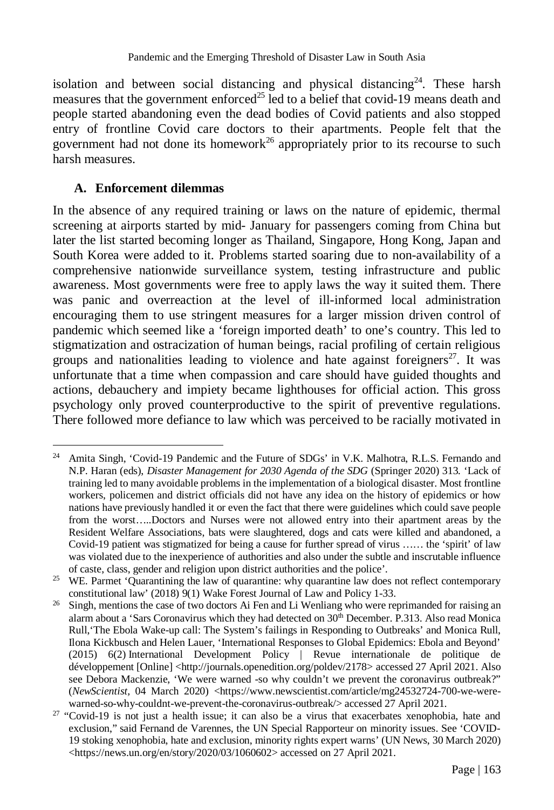isolation and between social distancing and physical distancing<sup>24</sup>. These harsh measures that the government enforced<sup>25</sup> led to a belief that covid-19 means death and people started abandoning even the dead bodies of Covid patients and also stopped entry of frontline Covid care doctors to their apartments. People felt that the government had not done its homework<sup>26</sup> appropriately prior to its recourse to such harsh measures.

#### **A. Enforcement dilemmas**

In the absence of any required training or laws on the nature of epidemic, thermal screening at airports started by mid- January for passengers coming from China but later the list started becoming longer as Thailand, Singapore, Hong Kong, Japan and South Korea were added to it. Problems started soaring due to non-availability of a comprehensive nationwide surveillance system, testing infrastructure and public awareness. Most governments were free to apply laws the way it suited them. There was panic and overreaction at the level of ill-informed local administration encouraging them to use stringent measures for a larger mission driven control of pandemic which seemed like a 'foreign imported death' to one's country. This led to stigmatization and ostracization of human beings, racial profiling of certain religious groups and nationalities leading to violence and hate against foreigners<sup>27</sup>. It was unfortunate that a time when compassion and care should have guided thoughts and actions, debauchery and impiety became lighthouses for official action. This gross psychology only proved counterproductive to the spirit of preventive regulations. There followed more defiance to law which was perceived to be racially motivated in

 $\overline{a}$ <sup>24</sup> Amita Singh, 'Covid-19 Pandemic and the Future of SDGs' in V.K. Malhotra, R.L.S. Fernando and N.P. Haran (eds), *Disaster Management for 2030 Agenda of the SDG* (Springer 2020) 313*.* 'Lack of training led to many avoidable problems in the implementation of a biological disaster. Most frontline workers, policemen and district officials did not have any idea on the history of epidemics or how nations have previously handled it or even the fact that there were guidelines which could save people from the worst.....Doctors and Nurses were not allowed entry into their apartment areas by the Resident Welfare Associations, bats were slaughtered, dogs and cats were killed and abandoned, a Covid-19 patient was stigmatized for being a cause for further spread of virus …… the 'spirit' of law was violated due to the inexperience of authorities and also under the subtle and inscrutable influence of caste, class, gender and religion upon district authorities and the police'.

<sup>&</sup>lt;sup>25</sup> WE. Parmet 'Quarantining the law of quarantine: why quarantine law does not reflect contemporary constitutional law' (2018) 9(1) Wake Forest Journal of Law and Policy 1-33.

<sup>&</sup>lt;sup>26</sup> Singh, mentions the case of two doctors Ai Fen and Li Wenliang who were reprimanded for raising an alarm about a 'Sars Coronavirus which they had detected on  $30<sup>th</sup>$  December. P.313. Also read Monica Rull,'The Ebola Wake-up call: The System's failings in Responding to Outbreaks' and Monica Rull, Ilona Kickbusch and Helen Lauer, 'International Responses to Global Epidemics: Ebola and Beyond' (2015) 6(2) International Development Policy | Revue internationale de politique de développement [Online] <http://journals.openedition.org/poldev/2178> accessed 27 April 2021. Also see Debora Mackenzie, 'We were warned -so why couldn't we prevent the coronavirus outbreak?" (*NewScientist*, 04 March 2020) <https://www.newscientist.com/article/mg24532724-700-we-werewarned-so-why-couldnt-we-prevent-the-coronavirus-outbreak/> accessed 27 April 2021.

 $27$  "Covid-19 is not just a health issue; it can also be a virus that exacerbates xenophobia, hate and exclusion," said Fernand de Varennes, the UN Special Rapporteur on minority issues. See 'COVID-19 stoking xenophobia, hate and exclusion, minority rights expert warns' (UN News, 30 March 2020) <https://news.un.org/en/story/2020/03/1060602> accessed on 27 April 2021.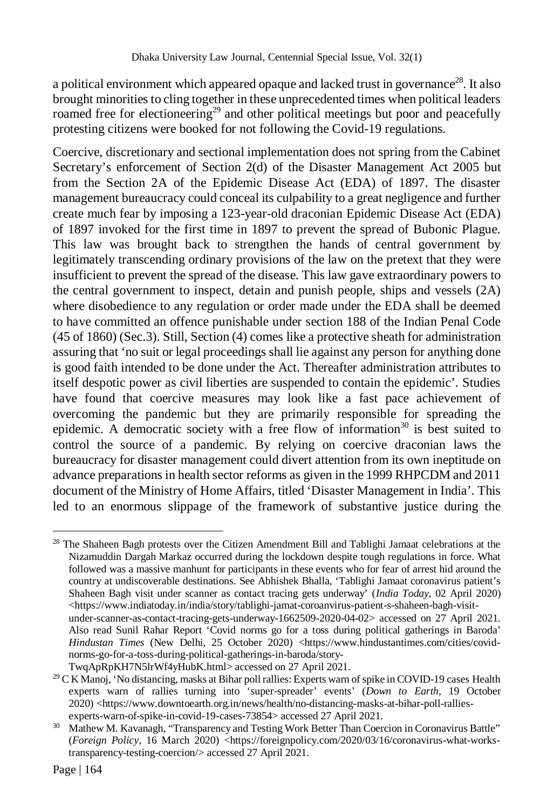a political environment which appeared opaque and lacked trust in governance<sup>28</sup>. It also brought minorities to cling together in these unprecedented times when political leaders roamed free for electioneering<sup>29</sup> and other political meetings but poor and peacefully protesting citizens were booked for not following the Covid-19 regulations.

Coercive, discretionary and sectional implementation does not spring from the Cabinet Secretary's enforcement of Section 2(d) of the Disaster Management Act 2005 but from the Section 2A of the Epidemic Disease Act (EDA) of 1897. The disaster management bureaucracy could conceal its culpability to a great negligence and further create much fear by imposing a 123-year-old draconian Epidemic Disease Act (EDA) of 1897 invoked for the first time in 1897 to prevent the spread of Bubonic Plague. This law was brought back to strengthen the hands of central government by legitimately transcending ordinary provisions of the law on the pretext that they were insufficient to prevent the spread of the disease. This law gave extraordinary powers to the central government to inspect, detain and punish people, ships and vessels (2A) where disobedience to any regulation or order made under the EDA shall be deemed to have committed an offence punishable under section 188 of the Indian Penal Code (45 of 1860) (Sec.3). Still, Section (4) comes like a protective sheath for administration assuring that 'no suit or legal proceedings shall lie against any person for anything done is good faith intended to be done under the Act. Thereafter administration attributes to itself despotic power as civil liberties are suspended to contain the epidemic'. Studies have found that coercive measures may look like a fast pace achievement of overcoming the pandemic but they are primarily responsible for spreading the epidemic. A democratic society with a free flow of information<sup>30</sup> is best suited to control the source of a pandemic. By relying on coercive draconian laws the bureaucracy for disaster management could divert attention from its own ineptitude on advance preparations in health sector reforms as given in the 1999 RHPCDM and 2011 document of the Ministry of Home Affairs, titled 'Disaster Management in India'. This led to an enormous slippage of the framework of substantive justice during the

 $\overline{a}$ 

<sup>&</sup>lt;sup>28</sup> The Shaheen Bagh protests over the Citizen Amendment Bill and Tablighi Jamaat celebrations at the Nizamuddin Dargah Markaz occurred during the lockdown despite tough regulations in force. What followed was a massive manhunt for participants in these events who for fear of arrest hid around the country at undiscoverable destinations. See Abhishek Bhalla, 'Tablighi Jamaat coronavirus patient's Shaheen Bagh visit under scanner as contact tracing gets underway' (*India Today*, 02 April 2020) <https://www.indiatoday.in/india/story/tablighi-jamat-coroanvirus-patient-s-shaheen-bagh-visitunder-scanner-as-contact-tracing-gets-underway-1662509-2020-04-02> accessed on 27 April 2021. Also read Sunil Rahar Report 'Covid norms go for a toss during political gatherings in Baroda' *Hindustan Times* (New Delhi, 25 October 2020) <https://www.hindustantimes.com/cities/covidnorms-go-for-a-toss-during-political-gatherings-in-baroda/story-TwqApRpKH7N5lrWf4yHubK.html> accessed on 27 April 2021.

<sup>&</sup>lt;sup>29</sup> C K Manoj, 'No distancing, masks at Bihar poll rallies: Experts warn of spike in COVID-19 cases Health experts warn of rallies turning into 'super-spreader' events' (*Down to Earth,* 19 October 2020) <https://www.downtoearth.org.in/news/health/no-distancing-masks-at-bihar-poll-ralliesexperts-warn-of-spike-in-covid-19-cases-73854> accessed 27 April 2021.

<sup>&</sup>lt;sup>30</sup> Mathew M. Kavanagh, "Transparency and Testing Work Better Than Coercion in Coronavirus Battle" (*Foreign Policy*, 16 March 2020) <https://foreignpolicy.com/2020/03/16/coronavirus-what-workstransparency-testing-coercion/> accessed 27 April 2021.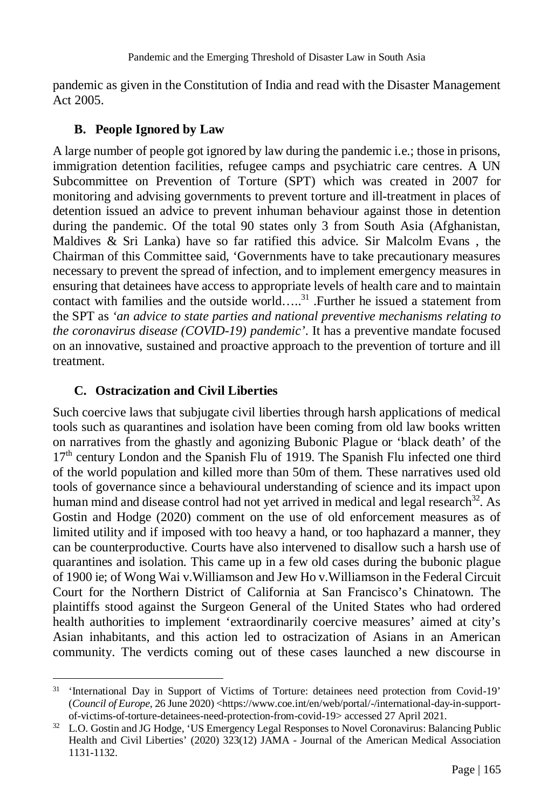pandemic as given in the Constitution of India and read with the Disaster Management Act 2005.

#### **B. People Ignored by Law**

A large number of people got ignored by law during the pandemic i.e.; those in prisons, immigration detention facilities, refugee camps and psychiatric care centres. A UN Subcommittee on Prevention of Torture (SPT) which was created in 2007 for monitoring and advising governments to prevent torture and ill-treatment in places of detention issued an advice to prevent inhuman behaviour against those in detention during the pandemic. Of the total 90 states only 3 from South Asia (Afghanistan, Maldives & Sri Lanka) have so far ratified this advice. Sir Malcolm Evans , the Chairman of this Committee said, 'Governments have to take precautionary measures necessary to prevent the spread of infection, and to implement emergency measures in ensuring that detainees have access to appropriate levels of health care and to maintain contact with families and the outside world…..<sup>31</sup> .Further he issued a statement from the SPT as *'an advice to state parties and national preventive mechanisms relating to the coronavirus disease (COVID-19) pandemic'*. It has a preventive mandate focused on an innovative, sustained and proactive approach to the prevention of torture and ill treatment.

## **C. Ostracization and Civil Liberties**

Such coercive laws that subjugate civil liberties through harsh applications of medical tools such as quarantines and isolation have been coming from old law books written on narratives from the ghastly and agonizing Bubonic Plague or 'black death' of the  $17<sup>th</sup>$  century London and the Spanish Flu of 1919. The Spanish Flu infected one third of the world population and killed more than 50m of them. These narratives used old tools of governance since a behavioural understanding of science and its impact upon human mind and disease control had not yet arrived in medical and legal research $32$ . As Gostin and Hodge (2020) comment on the use of old enforcement measures as of limited utility and if imposed with too heavy a hand, or too haphazard a manner, they can be counterproductive. Courts have also intervened to disallow such a harsh use of quarantines and isolation. This came up in a few old cases during the bubonic plague of 1900 ie; of Wong Wai v.Williamson and Jew Ho v.Williamson in the Federal Circuit Court for the Northern District of California at San Francisco's Chinatown. The plaintiffs stood against the Surgeon General of the United States who had ordered health authorities to implement 'extraordinarily coercive measures' aimed at city's Asian inhabitants, and this action led to ostracization of Asians in an American community. The verdicts coming out of these cases launched a new discourse in

 $\overline{a}$ <sup>31</sup> 'International Day in Support of Victims of Torture: detainees need protection from Covid-19' (*Council of Europe,* 26 June 2020) <https://www.coe.int/en/web/portal/-/international-day-in-supportof-victims-of-torture-detainees-need-protection-from-covid-19> accessed 27 April 2021.

<sup>&</sup>lt;sup>32</sup> L.O. Gostin and JG Hodge, 'US Emergency Legal Responses to Novel Coronavirus: Balancing Public Health and Civil Liberties' (2020) 323(12) JAMA - Journal of the American Medical Association 1131-1132.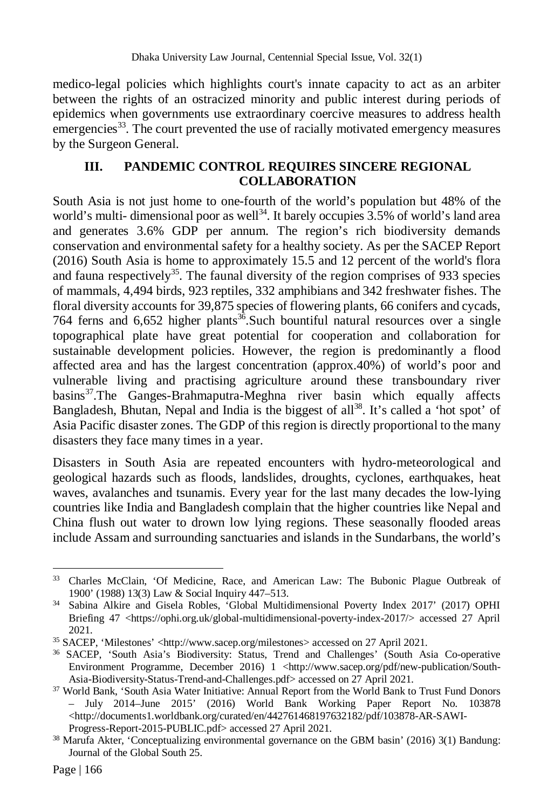medico-legal policies which highlights court's innate capacity to act as an arbiter between the rights of an ostracized minority and public interest during periods of epidemics when governments use extraordinary coercive measures to address health emergencies<sup>33</sup>. The court prevented the use of racially motivated emergency measures by the Surgeon General.

#### **III. PANDEMIC CONTROL REQUIRES SINCERE REGIONAL COLLABORATION**

South Asia is not just home to one-fourth of the world's population but 48% of the world's multi- dimensional poor as well<sup>34</sup>. It barely occupies  $3.5\%$  of world's land area and generates 3.6% GDP per annum. The region's rich biodiversity demands conservation and environmental safety for a healthy society. As per the SACEP Report (2016) South Asia is home to approximately 15.5 and 12 percent of the world's flora and fauna respectively<sup>35</sup>. The faunal diversity of the region comprises of 933 species of mammals, 4,494 birds, 923 reptiles, 332 amphibians and 342 freshwater fishes. The floral diversity accounts for 39,875 species of flowering plants, 66 conifers and cycads, 764 ferns and  $6,652$  higher plants<sup>36</sup>. Such bountiful natural resources over a single topographical plate have great potential for cooperation and collaboration for sustainable development policies. However, the region is predominantly a flood affected area and has the largest concentration (approx.40%) of world's poor and vulnerable living and practising agriculture around these transboundary river basins<sup>37</sup>.The Ganges-Brahmaputra-Meghna river basin which equally affects Bangladesh, Bhutan, Nepal and India is the biggest of all<sup>38</sup>. It's called a 'hot spot' of Asia Pacific disaster zones. The GDP of this region is directly proportional to the many disasters they face many times in a year.

Disasters in South Asia are repeated encounters with hydro-meteorological and geological hazards such as floods, landslides, droughts, cyclones, earthquakes, heat waves, avalanches and tsunamis. Every year for the last many decades the low-lying countries like India and Bangladesh complain that the higher countries like Nepal and China flush out water to drown low lying regions. These seasonally flooded areas include Assam and surrounding sanctuaries and islands in the Sundarbans, the world's

 $\overline{a}$ <sup>33</sup> Charles McClain, 'Of Medicine, Race, and American Law: The Bubonic Plague Outbreak of 1900' (1988) 13(3) Law & Social Inquiry 447–513.

<sup>34</sup> Sabina Alkire and Gisela Robles, 'Global Multidimensional Poverty Index 2017' (2017) OPHI Briefing 47 <https://ophi.org.uk/global-multidimensional-poverty-index-2017/> accessed 27 April 2021.

<sup>35</sup> SACEP, 'Milestones' <http://www.sacep.org/milestones> accessed on 27 April 2021.

<sup>36</sup> SACEP, 'South Asia's Biodiversity: Status, Trend and Challenges' (South Asia Co-operative Environment Programme, December 2016) 1 <http://www.sacep.org/pdf/new-publication/South-Asia-Biodiversity-Status-Trend-and-Challenges.pdf> accessed on 27 April 2021.

<sup>&</sup>lt;sup>37</sup> World Bank, 'South Asia Water Initiative: Annual Report from the World Bank to Trust Fund Donors – July 2014–June 2015' (2016) World Bank Working Paper Report No. 103878  $\langle$ http://documents1.worldbank.org/curated/en/442761468197632182/pdf/103878-AR-SAWI-Progress-Report-2015-PUBLIC.pdf> accessed 27 April 2021.

<sup>&</sup>lt;sup>38</sup> Marufa Akter, 'Conceptualizing environmental governance on the GBM basin' (2016) 3(1) Bandung: Journal of the Global South 25.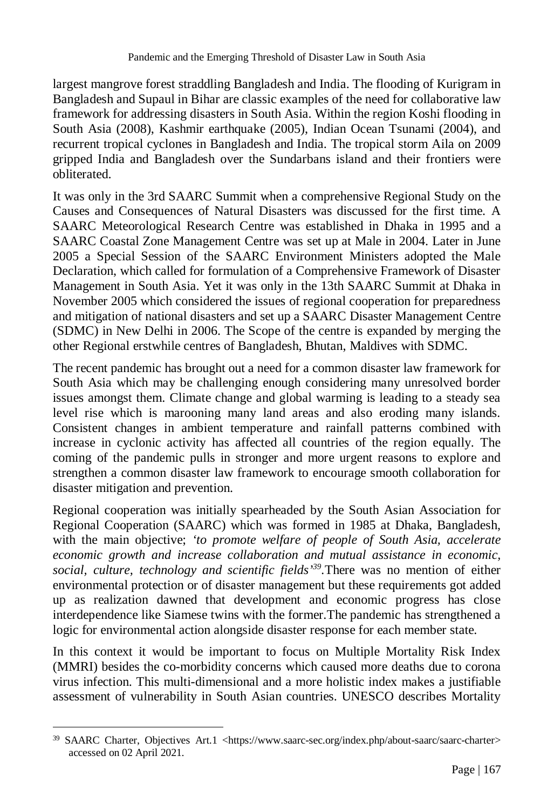largest mangrove forest straddling Bangladesh and India. The flooding of Kurigram in Bangladesh and Supaul in Bihar are classic examples of the need for collaborative law framework for addressing disasters in South Asia. Within the region Koshi flooding in South Asia (2008), Kashmir earthquake (2005), Indian Ocean Tsunami (2004), and recurrent tropical cyclones in Bangladesh and India. The tropical storm Aila on 2009 gripped India and Bangladesh over the Sundarbans island and their frontiers were obliterated.

It was only in the 3rd SAARC Summit when a comprehensive Regional Study on the Causes and Consequences of Natural Disasters was discussed for the first time. A SAARC Meteorological Research Centre was established in Dhaka in 1995 and a SAARC Coastal Zone Management Centre was set up at Male in 2004. Later in June 2005 a Special Session of the SAARC Environment Ministers adopted the Male Declaration, which called for formulation of a Comprehensive Framework of Disaster Management in South Asia. Yet it was only in the 13th SAARC Summit at Dhaka in November 2005 which considered the issues of regional cooperation for preparedness and mitigation of national disasters and set up a SAARC Disaster Management Centre (SDMC) in New Delhi in 2006. The Scope of the centre is expanded by merging the other Regional erstwhile centres of Bangladesh, Bhutan, Maldives with SDMC.

The recent pandemic has brought out a need for a common disaster law framework for South Asia which may be challenging enough considering many unresolved border issues amongst them. Climate change and global warming is leading to a steady sea level rise which is marooning many land areas and also eroding many islands. Consistent changes in ambient temperature and rainfall patterns combined with increase in cyclonic activity has affected all countries of the region equally. The coming of the pandemic pulls in stronger and more urgent reasons to explore and strengthen a common disaster law framework to encourage smooth collaboration for disaster mitigation and prevention.

Regional cooperation was initially spearheaded by the South Asian Association for Regional Cooperation (SAARC) which was formed in 1985 at Dhaka, Bangladesh, with the main objective; *'to promote welfare of people of South Asia, accelerate economic growth and increase collaboration and mutual assistance in economic, social, culture, technology and scientific fields'<sup>39</sup> .*There was no mention of either environmental protection or of disaster management but these requirements got added up as realization dawned that development and economic progress has close interdependence like Siamese twins with the former.The pandemic has strengthened a logic for environmental action alongside disaster response for each member state.

In this context it would be important to focus on Multiple Mortality Risk Index (MMRI) besides the co-morbidity concerns which caused more deaths due to corona virus infection. This multi-dimensional and a more holistic index makes a justifiable assessment of vulnerability in South Asian countries. UNESCO describes Mortality

 $\overline{a}$ 

<sup>&</sup>lt;sup>39</sup> SAARC Charter, Objectives Art.1 <https://www.saarc-sec.org/index.php/about-saarc/saarc-charter> accessed on 02 April 2021.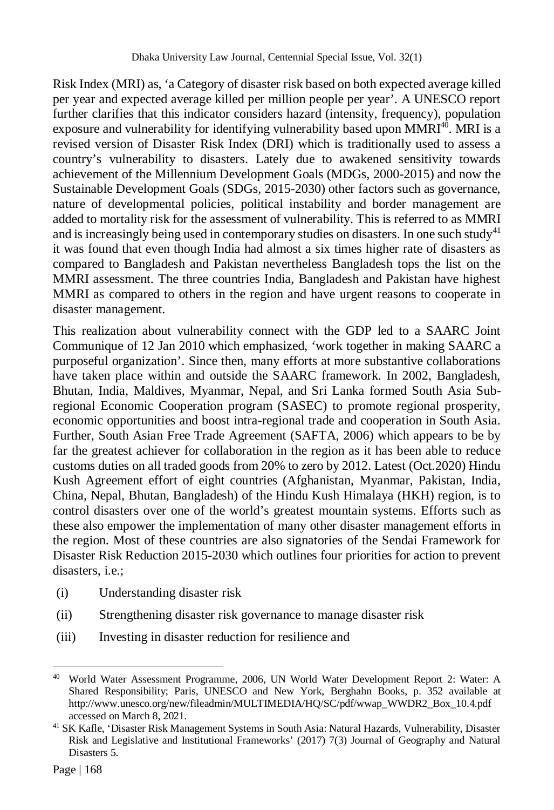Risk Index (MRI) as, 'a Category of disaster risk based on both expected average killed per year and expected average killed per million people per year'. A UNESCO report further clarifies that this indicator considers hazard (intensity, frequency), population exposure and vulnerability for identifying vulnerability based upon  $MMRI^{40}$ . MRI is a revised version of Disaster Risk Index (DRI) which is traditionally used to assess a country's vulnerability to disasters. Lately due to awakened sensitivity towards achievement of the Millennium Development Goals (MDGs, 2000-2015) and now the Sustainable Development Goals (SDGs, 2015-2030) other factors such as governance, nature of developmental policies, political instability and border management are added to mortality risk for the assessment of vulnerability. This is referred to as MMRI and is increasingly being used in contemporary studies on disasters. In one such study<sup>41</sup> it was found that even though India had almost a six times higher rate of disasters as compared to Bangladesh and Pakistan nevertheless Bangladesh tops the list on the MMRI assessment. The three countries India, Bangladesh and Pakistan have highest MMRI as compared to others in the region and have urgent reasons to cooperate in disaster management.

This realization about vulnerability connect with the GDP led to a SAARC Joint Communique of 12 Jan 2010 which emphasized, 'work together in making SAARC a purposeful organization'. Since then, many efforts at more substantive collaborations have taken place within and outside the SAARC framework. In 2002, Bangladesh, Bhutan, India, Maldives, Myanmar, Nepal, and Sri Lanka formed South Asia Subregional Economic Cooperation program (SASEC) to promote regional prosperity, economic opportunities and boost intra-regional trade and cooperation in South Asia. Further, South Asian Free Trade Agreement (SAFTA, 2006) which appears to be by far the greatest achiever for collaboration in the region as it has been able to reduce customs duties on all traded goods from 20% to zero by 2012. Latest (Oct.2020) Hindu Kush Agreement effort of eight countries (Afghanistan, Myanmar, Pakistan, India, China, Nepal, Bhutan, Bangladesh) of the Hindu Kush Himalaya (HKH) region, is to control disasters over one of the world's greatest mountain systems. Efforts such as these also empower the implementation of many other disaster management efforts in the region. Most of these countries are also signatories of the Sendai Framework for Disaster Risk Reduction 2015-2030 which outlines four priorities for action to prevent disasters, i.e.;

- (i) Understanding disaster risk
- (ii) Strengthening disaster risk governance to manage disaster risk
- (iii) Investing in disaster reduction for resilience and

<sup>40</sup> <sup>40</sup> World Water Assessment Programme, 2006, UN World Water Development Report 2: Water: A Shared Responsibility; Paris, UNESCO and New York, Berghahn Books, p. 352 available at http://www.unesco.org/new/fileadmin/MULTIMEDIA/HQ/SC/pdf/wwap\_WWDR2\_Box\_10.4.pdf accessed on March 8, 2021.

<sup>41</sup> SK Kafle, 'Disaster Risk Management Systems in South Asia: Natural Hazards, Vulnerability, Disaster Risk and Legislative and Institutional Frameworks' (2017) 7(3) Journal of Geography and Natural Disasters 5.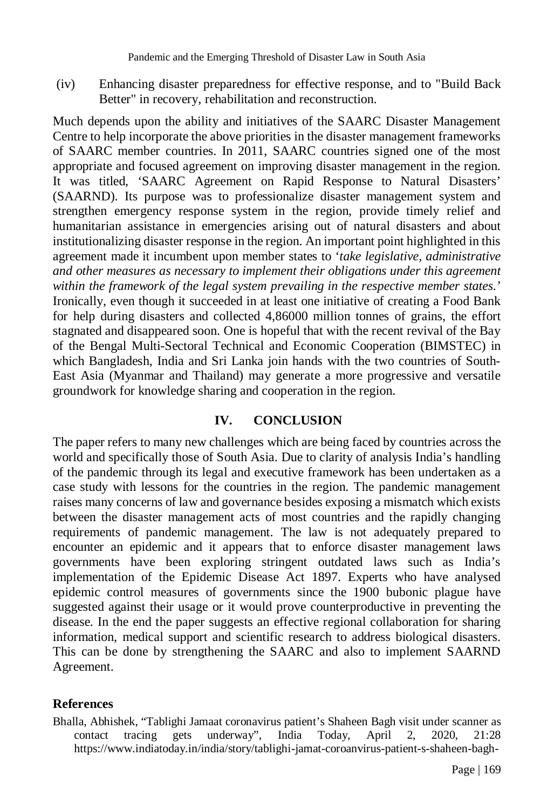(iv) Enhancing disaster preparedness for effective response, and to "Build Back Better" in recovery, rehabilitation and reconstruction.

Much depends upon the ability and initiatives of the SAARC Disaster Management Centre to help incorporate the above priorities in the disaster management frameworks of SAARC member countries. In 2011, SAARC countries signed one of the most appropriate and focused agreement on improving disaster management in the region. It was titled, 'SAARC Agreement on Rapid Response to Natural Disasters' (SAARND). Its purpose was to professionalize disaster management system and strengthen emergency response system in the region, provide timely relief and humanitarian assistance in emergencies arising out of natural disasters and about institutionalizing disaster response in the region. An important point highlighted in this agreement made it incumbent upon member states to '*take legislative, administrative and other measures as necessary to implement their obligations under this agreement within the framework of the legal system prevailing in the respective member states.*' Ironically, even though it succeeded in at least one initiative of creating a Food Bank for help during disasters and collected 4,86000 million tonnes of grains, the effort stagnated and disappeared soon. One is hopeful that with the recent revival of the Bay of the Bengal Multi-Sectoral Technical and Economic Cooperation (BIMSTEC) in which Bangladesh, India and Sri Lanka join hands with the two countries of South-East Asia (Myanmar and Thailand) may generate a more progressive and versatile groundwork for knowledge sharing and cooperation in the region.

#### **IV. CONCLUSION**

The paper refers to many new challenges which are being faced by countries across the world and specifically those of South Asia. Due to clarity of analysis India's handling of the pandemic through its legal and executive framework has been undertaken as a case study with lessons for the countries in the region. The pandemic management raises many concerns of law and governance besides exposing a mismatch which exists between the disaster management acts of most countries and the rapidly changing requirements of pandemic management. The law is not adequately prepared to encounter an epidemic and it appears that to enforce disaster management laws governments have been exploring stringent outdated laws such as India's implementation of the Epidemic Disease Act 1897. Experts who have analysed epidemic control measures of governments since the 1900 bubonic plague have suggested against their usage or it would prove counterproductive in preventing the disease. In the end the paper suggests an effective regional collaboration for sharing information, medical support and scientific research to address biological disasters. This can be done by strengthening the SAARC and also to implement SAARND Agreement.

#### **References**

Bhalla, Abhishek, "Tablighi Jamaat coronavirus patient's Shaheen Bagh visit under scanner as contact tracing gets underway", India Today, April 2, 2020, 21:28 https://www.indiatoday.in/india/story/tablighi-jamat-coroanvirus-patient-s-shaheen-bagh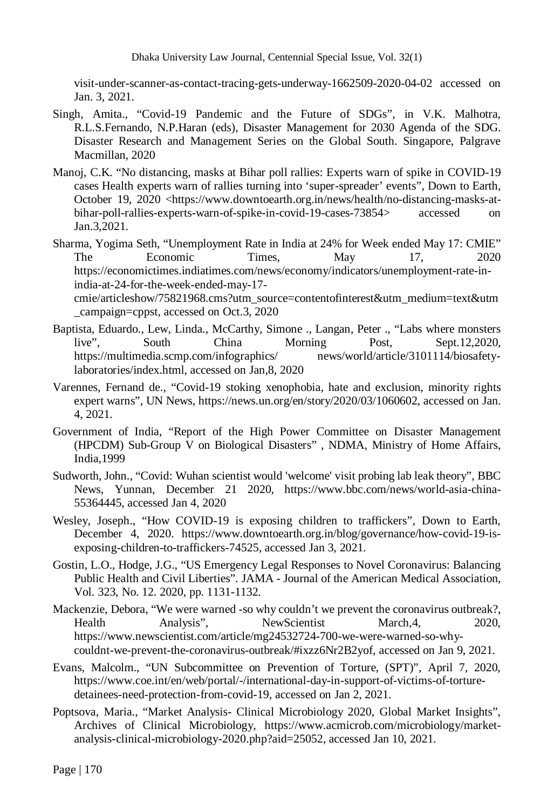Dhaka University Law Journal, Centennial Special Issue, Vol. 32(1)

visit-under-scanner-as-contact-tracing-gets-underway-1662509-2020-04-02 accessed on Jan. 3, 2021.

- Singh, Amita., "Covid-19 Pandemic and the Future of SDGs", in V.K. Malhotra, R.L.S.Fernando, N.P.Haran (eds), Disaster Management for 2030 Agenda of the SDG. Disaster Research and Management Series on the Global South. Singapore, Palgrave Macmillan, 2020
- Manoj, C.K. "No distancing, masks at Bihar poll rallies: Experts warn of spike in COVID-19 cases Health experts warn of rallies turning into 'super-spreader' events", Down to Earth, October 19, 2020 <https://www.downtoearth.org.in/news/health/no-distancing-masks-atbihar-poll-rallies-experts-warn-of-spike-in-covid-19-cases-73854> accessed on Jan.3,2021.
- Sharma, Yogima Seth, "Unemployment Rate in India at 24% for Week ended May 17: CMIE" The Economic Times, May 17, 2020 https://economictimes.indiatimes.com/news/economy/indicators/unemployment-rate-inindia-at-24-for-the-week-ended-may-17-

cmie/articleshow/75821968.cms?utm\_source=contentofinterest&utm\_medium=text&utm \_campaign=cppst, accessed on Oct.3, 2020

- Baptista, Eduardo., Lew, Linda., McCarthy, Simone ., Langan, Peter ., "Labs where monsters live", South China Morning Post, Sept.12,2020, https://multimedia.scmp.com/infographics/ news/world/article/3101114/biosafetylaboratories/index.html, accessed on Jan,8, 2020
- Varennes, Fernand de., "Covid-19 stoking xenophobia, hate and exclusion, minority rights expert warns", UN News, https://news.un.org/en/story/2020/03/1060602, accessed on Jan. 4, 2021.
- Government of India, "Report of the High Power Committee on Disaster Management (HPCDM) Sub-Group V on Biological Disasters" , NDMA, Ministry of Home Affairs, India,1999
- Sudworth, John., "Covid: Wuhan scientist would 'welcome' visit probing lab leak theory", BBC News, Yunnan, December 21 2020, https://www.bbc.com/news/world-asia-china-55364445, accessed Jan 4, 2020
- Wesley, Joseph., "How COVID-19 is exposing children to traffickers", Down to Earth, December 4, 2020. https://www.downtoearth.org.in/blog/governance/how-covid-19-isexposing-children-to-traffickers-74525, accessed Jan 3, 2021.
- Gostin, L.O., Hodge, J.G., "US Emergency Legal Responses to Novel Coronavirus: Balancing Public Health and Civil Liberties". JAMA - Journal of the American Medical Association, Vol. 323, No. 12. 2020, pp. 1131-1132.
- Mackenzie, Debora, "We were warned -so why couldn't we prevent the coronavirus outbreak?, Health Analysis", NewScientist March,4, 2020, https://www.newscientist.com/article/mg24532724-700-we-were-warned-so-whycouldnt-we-prevent-the-coronavirus-outbreak/#ixzz6Nr2B2yof, accessed on Jan 9, 2021.
- Evans, Malcolm., "UN Subcommittee on Prevention of Torture, (SPT)", April 7, 2020, https://www.coe.int/en/web/portal/-/international-day-in-support-of-victims-of-torturedetainees-need-protection-from-covid-19, accessed on Jan 2, 2021.
- Poptsova, Maria., "Market Analysis- Clinical Microbiology 2020, Global Market Insights", Archives of Clinical Microbiology, https://www.acmicrob.com/microbiology/marketanalysis-clinical-microbiology-2020.php?aid=25052, accessed Jan 10, 2021.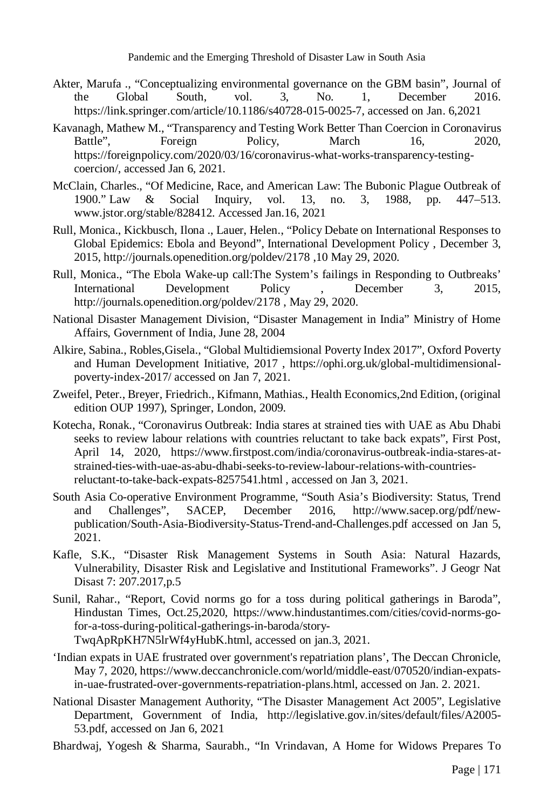- Akter, Marufa ., "Conceptualizing environmental governance on the GBM basin", Journal of the Global South, vol. 3, No. 1, December 2016. https://link.springer.com/article/10.1186/s40728-015-0025-7, accessed on Jan. 6,2021
- Kavanagh, Mathew M., "Transparency and Testing Work Better Than Coercion in Coronavirus Battle", Foreign Policy, March 16, 2020, https://foreignpolicy.com/2020/03/16/coronavirus-what-works-transparency-testingcoercion/, accessed Jan 6, 2021.
- McClain, Charles., "Of Medicine, Race, and American Law: The Bubonic Plague Outbreak of 1900." Law & Social Inquiry, vol. 13, no. 3, 1988, pp. 447–513. www.jstor.org/stable/828412. Accessed Jan.16, 2021
- Rull, Monica., Kickbusch, Ilona ., Lauer, Helen., "Policy Debate on International Responses to Global Epidemics: Ebola and Beyond", International Development Policy , December 3, 2015, http://journals.openedition.org/poldev/2178 ,10 May 29, 2020.
- Rull, Monica., "The Ebola Wake-up call:The System's failings in Responding to Outbreaks' International Development Policy , December 3, 2015, http://journals.openedition.org/poldev/2178 , May 29, 2020.
- National Disaster Management Division, "Disaster Management in India" Ministry of Home Affairs, Government of India, June 28, 2004
- Alkire, Sabina., Robles,Gisela., "Global Multidiemsional Poverty Index 2017", Oxford Poverty and Human Development Initiative, 2017 , https://ophi.org.uk/global-multidimensionalpoverty-index-2017/ accessed on Jan 7, 2021.
- Zweifel, Peter., Breyer, Friedrich., Kifmann, Mathias., Health Economics,2nd Edition, (original edition OUP 1997), Springer, London, 2009.
- Kotecha, Ronak., "Coronavirus Outbreak: India stares at strained ties with UAE as Abu Dhabi seeks to review labour relations with countries reluctant to take back expats", First Post, April 14, 2020, https://www.firstpost.com/india/coronavirus-outbreak-india-stares-atstrained-ties-with-uae-as-abu-dhabi-seeks-to-review-labour-relations-with-countriesreluctant-to-take-back-expats-8257541.html , accessed on Jan 3, 2021.
- South Asia Co-operative Environment Programme, "South Asia's Biodiversity: Status, Trend and Challenges", SACEP, December 2016, http://www.sacep.org/pdf/newpublication/South-Asia-Biodiversity-Status-Trend-and-Challenges.pdf accessed on Jan 5, 2021.
- Kafle, S.K., "Disaster Risk Management Systems in South Asia: Natural Hazards, Vulnerability, Disaster Risk and Legislative and Institutional Frameworks". J Geogr Nat Disast 7: 207.2017,p.5
- Sunil, Rahar., "Report, Covid norms go for a toss during political gatherings in Baroda", Hindustan Times, Oct.25,2020, https://www.hindustantimes.com/cities/covid-norms-gofor-a-toss-during-political-gatherings-in-baroda/story-

TwqApRpKH7N5lrWf4yHubK.html, accessed on jan.3, 2021.

- 'Indian expats in UAE frustrated over government's repatriation plans', The Deccan Chronicle, May 7, 2020, https://www.deccanchronicle.com/world/middle-east/070520/indian-expatsin-uae-frustrated-over-governments-repatriation-plans.html, accessed on Jan. 2. 2021.
- National Disaster Management Authority, "The Disaster Management Act 2005", Legislative Department, Government of India, http://legislative.gov.in/sites/default/files/A2005- 53.pdf, accessed on Jan 6, 2021
- Bhardwaj, Yogesh & Sharma, Saurabh., "In Vrindavan, A Home for Widows Prepares To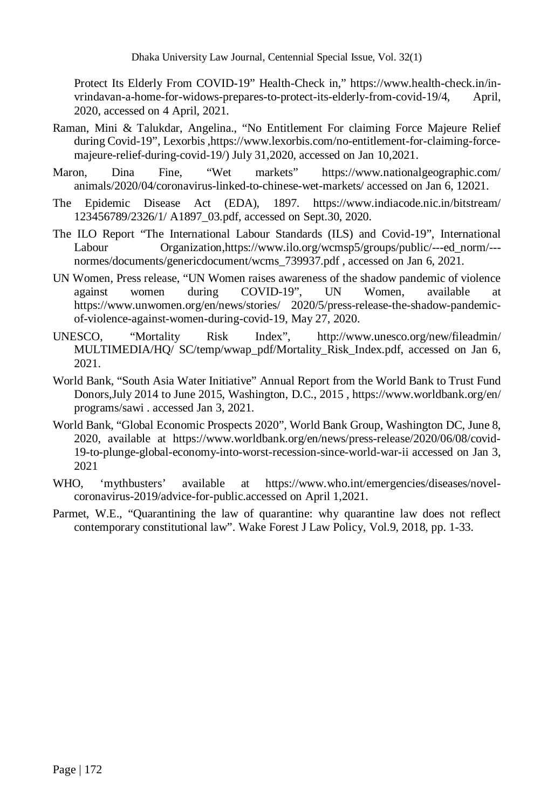Protect Its Elderly From COVID-19" Health-Check in," https://www.health-check.in/invrindavan-a-home-for-widows-prepares-to-protect-its-elderly-from-covid-19/4, April, 2020, accessed on 4 April, 2021.

- Raman, Mini & Talukdar, Angelina., "No Entitlement For claiming Force Majeure Relief during Covid-19", Lexorbis ,https://www.lexorbis.com/no-entitlement-for-claiming-forcemajeure-relief-during-covid-19/) July 31,2020, accessed on Jan 10,2021.
- Maron, Dina Fine, "Wet markets" https://www.nationalgeographic.com/ animals/2020/04/coronavirus-linked-to-chinese-wet-markets/ accessed on Jan 6, 12021.
- The Epidemic Disease Act (EDA), 1897. https://www.indiacode.nic.in/bitstream/ 123456789/2326/1/ A1897\_03.pdf, accessed on Sept.30, 2020.
- The ILO Report "The International Labour Standards (ILS) and Covid-19", International Labour Organization,https://www.ilo.org/wcmsp5/groups/public/---ed\_norm/--normes/documents/genericdocument/wcms 739937.pdf, accessed on Jan 6, 2021.
- UN Women, Press release, "UN Women raises awareness of the shadow pandemic of violence against women during COVID-19", UN Women, available at https://www.unwomen.org/en/news/stories/ 2020/5/press-release-the-shadow-pandemicof-violence-against-women-during-covid-19, May 27, 2020.
- UNESCO, "Mortality Risk Index", http://www.unesco.org/new/fileadmin/ MULTIMEDIA/HQ/ SC/temp/wwap\_pdf/Mortality\_Risk\_Index.pdf, accessed on Jan 6, 2021.
- World Bank, "South Asia Water Initiative" Annual Report from the World Bank to Trust Fund Donors,July 2014 to June 2015, Washington, D.C., 2015 , https://www.worldbank.org/en/ programs/sawi . accessed Jan 3, 2021.
- World Bank, "Global Economic Prospects 2020", World Bank Group, Washington DC, June 8, 2020, available at https://www.worldbank.org/en/news/press-release/2020/06/08/covid-19-to-plunge-global-economy-into-worst-recession-since-world-war-ii accessed on Jan 3, 2021
- WHO, 'mythbusters' available at https://www.who.int/emergencies/diseases/novelcoronavirus-2019/advice-for-public.accessed on April 1,2021.
- Parmet, W.E., "Quarantining the law of quarantine: why quarantine law does not reflect contemporary constitutional law". Wake Forest J Law Policy, Vol.9, 2018, pp. 1-33.